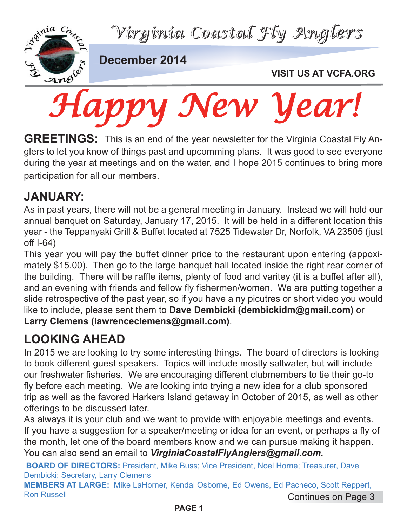*Virginia Coastal Fly Anglers*



**December 2014**

### **VISIT US AT VCFA.ORG**

GREETINGS: This is an end of the year newsletter for the Virginia Coastal Fly Anglers to let you know of things past and upcomming plans. It was good to see everyone during the year at meetings and on the water, and I hope 2015 continues to bring more participation for all our members.

# **JANUARY:**

As in past years, there will not be a general meeting in January. Instead we will hold our annual banquet on Saturday, January 17, 2015. It will be held in a different location this year - the Teppanyaki Grill & Buffet located at 7525 Tidewater Dr, Norfolk, VA 23505 (just off I-64)

This year you will pay the buffet dinner price to the restaurant upon entering (appoximately \$15.00). Then go to the large banquet hall located inside the right rear corner of the building. There will be raffle items, plenty of food and varitey (it is a buffet after all), and an evening with friends and fellow fly fishermen/women. We are putting together a slide retrospective of the past year, so if you have a ny picutres or short video you would like to include, please sent them to **Dave Dembicki (dembickidm@gmail.com)** or **Larry Clemens (lawrenceclemens@gmail.com)**.

# **LOOKING AHEAD**

In 2015 we are looking to try some interesting things. The board of directors is looking to book different guest speakers. Topics will include mostly saltwater, but will include our freshwater fisheries. We are encouraging different clubmembers to tie their go-to fly before each meeting. We are looking into trying a new idea for a club sponsored trip as well as the favored Harkers Island getaway in October of 2015, as well as other offerings to be discussed later.

As always it is your club and we want to provide with enjoyable meetings and events. If you have a suggestion for a speaker/meeting or idea for an event, or perhaps a fly of the month, let one of the board members know and we can pursue making it happen. You can also send an email to *VirginiaCoastalFlyAnglers@gmail.com.*

**BOARD OF DIRECTORS:** President, Mike Buss; Vice President, Noel Horne; Treasurer, Dave Dembicki; Secretary, Larry Clemens

**MEMBERS AT LARGE:** Mike LaHorner, Kendal Osborne, Ed Owens, Ed Pacheco, Scott Reppert, Ron Russell Continues on Page 3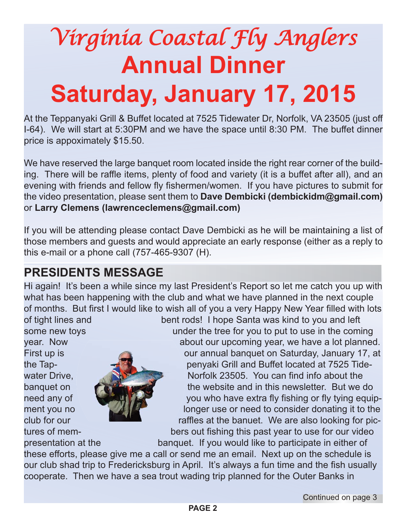# *Virginia Coastal Fly Anglers* **Annual Dinner Saturday, January 17, 2015**

At the Teppanyaki Grill & Buffet located at 7525 Tidewater Dr, Norfolk, VA 23505 (just off I-64). We will start at 5:30PM and we have the space until 8:30 PM. The buffet dinner price is appoximately \$15.50.

We have reserved the large banquet room located inside the right rear corner of the building. There will be raffle items, plenty of food and variety (it is a buffet after all), and an evening with friends and fellow fly fishermen/women. If you have pictures to submit for the video presentation, please sent them to **Dave Dembicki (dembickidm@gmail.com)** or **Larry Clemens (lawrenceclemens@gmail.com)**

If you will be attending please contact Dave Dembicki as he will be maintaining a list of those members and guests and would appreciate an early response (either as a reply to this e-mail or a phone call (757-465-9307 (H).

# **PRESIDENTS MESSAGE**

Hi again! It's been a while since my last President's Report so let me catch you up with what has been happening with the club and what we have planned in the next couple of months. But first I would like to wish all of you a very Happy New Year filled with lots



of tight lines and bent rods! I hope Santa was kind to you and left some new toys **under the tree for you to put to use in the coming** year. Now about our upcoming year, we have a lot planned. First up is **First up is** our annual banquet on Saturday, January 17, at the Tap- penyaki Grill and Buffet located at 7525 Tidewater Drive. Norfolk 23505. You can find info about the banquet on the website and in this newsletter. But we do need any of you who have extra fly fishing or fly tying equipment you no **longer use or need to consider donating it to the** club for our **raffles at the banuet.** We are also looking for pictures of mem- bers out fishing this past year to use for our video

presentation at the banquet. If you would like to participate in either of

these efforts, please give me a call or send me an email. Next up on the schedule is our club shad trip to Fredericksburg in April. It's always a fun time and the fish usually cooperate. Then we have a sea trout wading trip planned for the Outer Banks in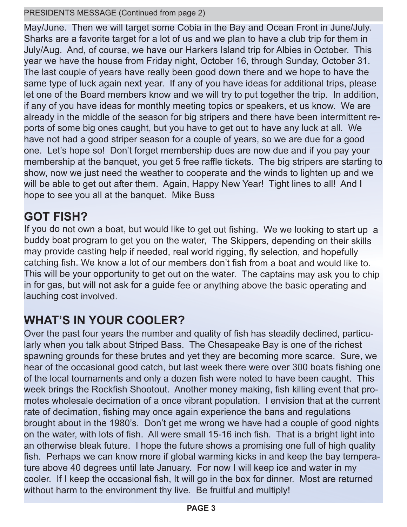#### PRESIDENTS MESSAGE (Continued from page 2)

May/June. Then we will target some Cobia in the Bay and Ocean Front in June/July. Sharks are a favorite target for a lot of us and we plan to have a club trip for them in July/Aug. And, of course, we have our Harkers Island trip for Albies in October. This year we have the house from Friday night, October 16, through Sunday, October 31. The last couple of years have really been good down there and we hope to have the same type of luck again next year. If any of you have ideas for additional trips, please let one of the Board members know and we will try to put together the trip. In addition, if any of you have ideas for monthly meeting topics or speakers, et us know. We are already in the middle of the season for big stripers and there have been intermittent reports of some big ones caught, but you have to get out to have any luck at all. We have not had a good striper season for a couple of years, so we are due for a good one. Let's hope so! Don't forget membership dues are now due and if you pay your membership at the banquet, you get 5 free raffle tickets. The big stripers are starting to show, now we just need the weather to cooperate and the winds to lighten up and we will be able to get out after them. Again, Happy New Year! Tight lines to all! And I hope to see you all at the banquet. Mike Buss

## **GOT FISH?**

If you do not own a boat, but would like to get out fishing. We we looking to start up a buddy boat program to get you on the water, The Skippers, depending on their skills may provide casting help if needed, real world rigging, fly selection, and hopefully catching fish. We know a lot of our members don't fish from a boat and would like to. This will be your opportunity to get out on the water. The captains may ask you to chip in for gas, but will not ask for a guide fee or anything above the basic operating and lauching cost involved.

# **WHAT'S IN YOUR COOLER?**

Over the past four years the number and quality of fish has steadily declined, particularly when you talk about Striped Bass. The Chesapeake Bay is one of the richest spawning grounds for these brutes and yet they are becoming more scarce. Sure, we hear of the occasional good catch, but last week there were over 300 boats fishing one of the local tournaments and only a dozen fish were noted to have been caught. This week brings the Rockfish Shootout. Another money making, fish killing event that promotes wholesale decimation of a once vibrant population. I envision that at the current rate of decimation, fishing may once again experience the bans and regulations brought about in the 1980's. Don't get me wrong we have had a couple of good nights on the water, with lots of fish. All were small 15-16 inch fish. That is a bright light into an otherwise bleak future. I hope the future shows a promising one full of high quality fish. Perhaps we can know more if global warming kicks in and keep the bay temperature above 40 degrees until late January. For now I will keep ice and water in my cooler. If I keep the occasional fish, It will go in the box for dinner. Most are returned without harm to the environment thy live. Be fruitful and multiply!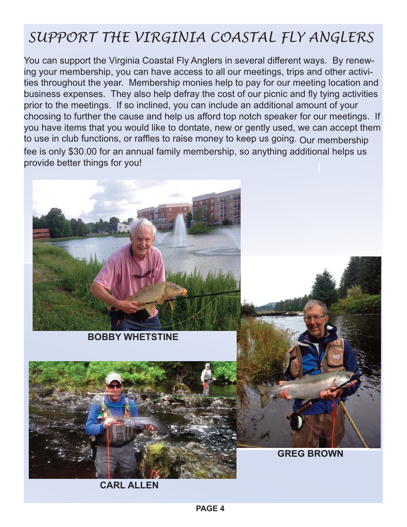# *SUPPORT THE VIRGINIA COASTAL FLY ANGLERS*

You can support the Virginia Coastal Fly Anglers in several different ways. By renewing your membership, you can have access to all our meetings, trips and other activities throughout the year. Membership monies help to pay for our meeting location and business expenses. They also help defray the cost of our picnic and fly tying activities prior to the meetings. If so inclined, you can include an additional amount of your choosing to further the cause and help us afford top notch speaker for our meetings. If you have items that you would like to dontate, new or gently used, we can accept them to use in club functions, or raffles to raise money to keep us going. Our membership fee is only \$30.00 for an annual family membership, so anything additional helps us provide better things for you!



**BOBBY WHETSTINE**



**CARL ALLEN**



**GREG BROWN**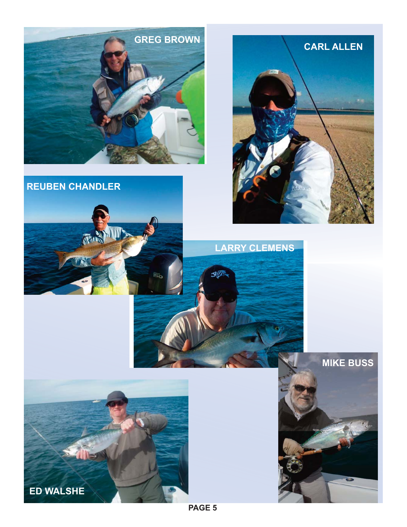





**LARRY CLEMENS**

**SID** 





**PAGE 5**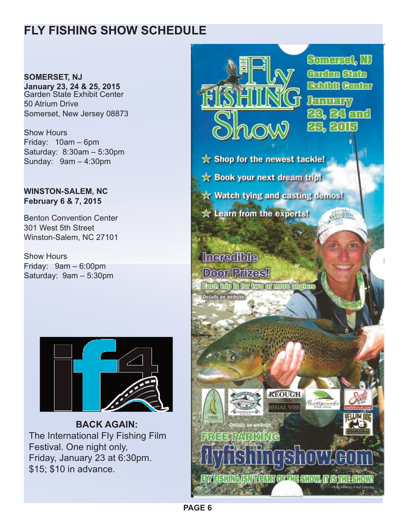# **FLY FISHING SHOW SCHEDULE**

**SOMERSET, NJ January 23, 24 & 25, 2015** Garden State Exhibit Center 50 Atrium Drive Somerset, New Jersey 08873

Show Hours Friday: 10am – 6pm Saturday: 8:30am – 5:30pm Sunday: 9am – 4:30pm

#### **WINSTON-SALEM, NC February 6 & 7, 2015**

Benton Convention Center 301 West 5th Street Winston-Salem, NC 27101

Show Hours Friday: 9am – 6:00pm Saturday: 9am – 5:30pm



**BACK AGAIN:** The International Fly Fishing Film Festival. One night only, Friday, January 23 at 6:30pm. \$15; \$10 in advance.



**PAGE 6**

**FAY FISHING ISNEEPART OF THE SHOW.**